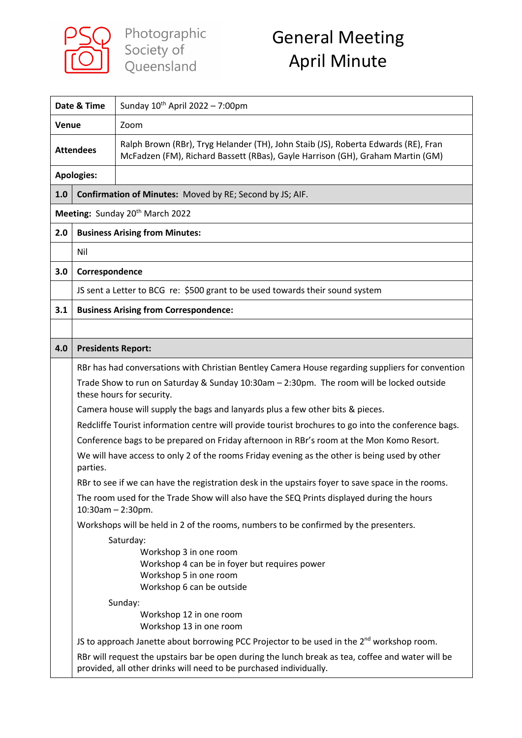

| Date & Time      |                                             | Sunday $10^{th}$ April 2022 - 7:00pm                                                                                                                                                                                                                                                                                                                                                                                                                                                                                                                                                                                                                                                                                                                                                                                                                                                                                                                                                                                                                                                                                                                                                                                                                                                                                                                     |  |
|------------------|---------------------------------------------|----------------------------------------------------------------------------------------------------------------------------------------------------------------------------------------------------------------------------------------------------------------------------------------------------------------------------------------------------------------------------------------------------------------------------------------------------------------------------------------------------------------------------------------------------------------------------------------------------------------------------------------------------------------------------------------------------------------------------------------------------------------------------------------------------------------------------------------------------------------------------------------------------------------------------------------------------------------------------------------------------------------------------------------------------------------------------------------------------------------------------------------------------------------------------------------------------------------------------------------------------------------------------------------------------------------------------------------------------------|--|
| Venue            |                                             | Zoom                                                                                                                                                                                                                                                                                                                                                                                                                                                                                                                                                                                                                                                                                                                                                                                                                                                                                                                                                                                                                                                                                                                                                                                                                                                                                                                                                     |  |
| <b>Attendees</b> |                                             | Ralph Brown (RBr), Tryg Helander (TH), John Staib (JS), Roberta Edwards (RE), Fran<br>McFadzen (FM), Richard Bassett (RBas), Gayle Harrison (GH), Graham Martin (GM)                                                                                                                                                                                                                                                                                                                                                                                                                                                                                                                                                                                                                                                                                                                                                                                                                                                                                                                                                                                                                                                                                                                                                                                     |  |
|                  | <b>Apologies:</b>                           |                                                                                                                                                                                                                                                                                                                                                                                                                                                                                                                                                                                                                                                                                                                                                                                                                                                                                                                                                                                                                                                                                                                                                                                                                                                                                                                                                          |  |
| 1.0              |                                             | Confirmation of Minutes: Moved by RE; Second by JS; AIF.                                                                                                                                                                                                                                                                                                                                                                                                                                                                                                                                                                                                                                                                                                                                                                                                                                                                                                                                                                                                                                                                                                                                                                                                                                                                                                 |  |
|                  | Meeting: Sunday 20 <sup>th</sup> March 2022 |                                                                                                                                                                                                                                                                                                                                                                                                                                                                                                                                                                                                                                                                                                                                                                                                                                                                                                                                                                                                                                                                                                                                                                                                                                                                                                                                                          |  |
| 2.0              |                                             | <b>Business Arising from Minutes:</b>                                                                                                                                                                                                                                                                                                                                                                                                                                                                                                                                                                                                                                                                                                                                                                                                                                                                                                                                                                                                                                                                                                                                                                                                                                                                                                                    |  |
|                  | Nil                                         |                                                                                                                                                                                                                                                                                                                                                                                                                                                                                                                                                                                                                                                                                                                                                                                                                                                                                                                                                                                                                                                                                                                                                                                                                                                                                                                                                          |  |
| 3.0              | Correspondence                              |                                                                                                                                                                                                                                                                                                                                                                                                                                                                                                                                                                                                                                                                                                                                                                                                                                                                                                                                                                                                                                                                                                                                                                                                                                                                                                                                                          |  |
|                  |                                             | JS sent a Letter to BCG re: \$500 grant to be used towards their sound system                                                                                                                                                                                                                                                                                                                                                                                                                                                                                                                                                                                                                                                                                                                                                                                                                                                                                                                                                                                                                                                                                                                                                                                                                                                                            |  |
| 3.1              |                                             | <b>Business Arising from Correspondence:</b>                                                                                                                                                                                                                                                                                                                                                                                                                                                                                                                                                                                                                                                                                                                                                                                                                                                                                                                                                                                                                                                                                                                                                                                                                                                                                                             |  |
|                  |                                             |                                                                                                                                                                                                                                                                                                                                                                                                                                                                                                                                                                                                                                                                                                                                                                                                                                                                                                                                                                                                                                                                                                                                                                                                                                                                                                                                                          |  |
| 4.0              | <b>Presidents Report:</b>                   |                                                                                                                                                                                                                                                                                                                                                                                                                                                                                                                                                                                                                                                                                                                                                                                                                                                                                                                                                                                                                                                                                                                                                                                                                                                                                                                                                          |  |
|                  | parties.                                    | RBr has had conversations with Christian Bentley Camera House regarding suppliers for convention<br>Trade Show to run on Saturday & Sunday 10:30am - 2:30pm. The room will be locked outside<br>these hours for security.<br>Camera house will supply the bags and lanyards plus a few other bits & pieces.<br>Redcliffe Tourist information centre will provide tourist brochures to go into the conference bags.<br>Conference bags to be prepared on Friday afternoon in RBr's room at the Mon Komo Resort.<br>We will have access to only 2 of the rooms Friday evening as the other is being used by other<br>RBr to see if we can have the registration desk in the upstairs foyer to save space in the rooms.<br>The room used for the Trade Show will also have the SEQ Prints displayed during the hours<br>$10:30$ am - 2:30pm.<br>Workshops will be held in 2 of the rooms, numbers to be confirmed by the presenters.<br>Saturday:<br>Workshop 3 in one room<br>Workshop 4 can be in foyer but requires power<br>Workshop 5 in one room<br>Workshop 6 can be outside<br>Sunday:<br>Workshop 12 in one room<br>Workshop 13 in one room<br>JS to approach Janette about borrowing PCC Projector to be used in the $2^{nd}$ workshop room.<br>RBr will request the upstairs bar be open during the lunch break as tea, coffee and water will be |  |